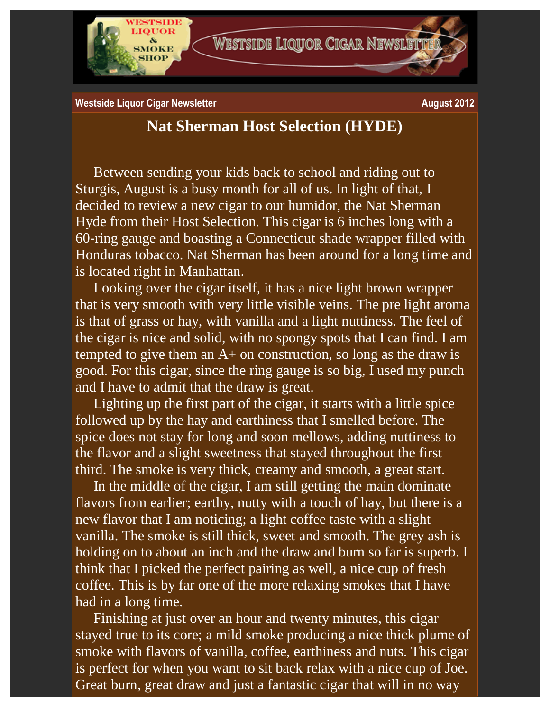

**Westside Liquor Cigar Newsletter August 2012 August 2012** 

## **Nat Sherman Host Selection (HYDE)**

Between sending your kids back to school and riding out to Sturgis, August is a busy month for all of us. In light of that, I decided to review a new cigar to our humidor, the Nat Sherman Hyde from their Host Selection. This cigar is 6 inches long with a 60-ring gauge and boasting a Connecticut shade wrapper filled with Honduras tobacco. Nat Sherman has been around for a long time and is located right in Manhattan.

Looking over the cigar itself, it has a nice light brown wrapper that is very smooth with very little visible veins. The pre light aroma is that of grass or hay, with vanilla and a light nuttiness. The feel of the cigar is nice and solid, with no spongy spots that I can find. I am tempted to give them an  $A+$  on construction, so long as the draw is good. For this cigar, since the ring gauge is so big, I used my punch and I have to admit that the draw is great.

Lighting up the first part of the cigar, it starts with a little spice followed up by the hay and earthiness that I smelled before. The spice does not stay for long and soon mellows, adding nuttiness to the flavor and a slight sweetness that stayed throughout the first third. The smoke is very thick, creamy and smooth, a great start.

In the middle of the cigar, I am still getting the main dominate flavors from earlier; earthy, nutty with a touch of hay, but there is a new flavor that I am noticing; a light coffee taste with a slight vanilla. The smoke is still thick, sweet and smooth. The grey ash is holding on to about an inch and the draw and burn so far is superb. I think that I picked the perfect pairing as well, a nice cup of fresh coffee. This is by far one of the more relaxing smokes that I have had in a long time.

Finishing at just over an hour and twenty minutes, this cigar stayed true to its core; a mild smoke producing a nice thick plume of smoke with flavors of vanilla, coffee, earthiness and nuts. This cigar is perfect for when you want to sit back relax with a nice cup of Joe. Great burn, great draw and just a fantastic cigar that will in no way